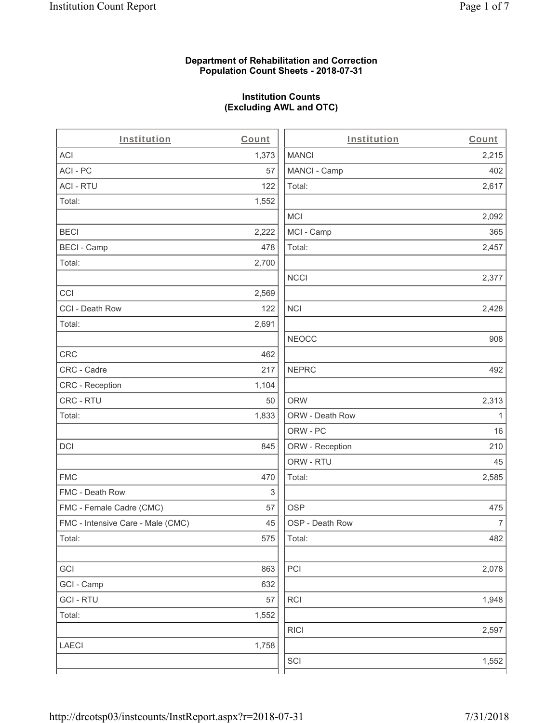## **Department of Rehabilitation and Correction Population Count Sheets - 2018-07-31**

# **Institution Counts (Excluding AWL and OTC)**

 $\overline{a}$ .

| Institution                       | Count | Institution     | Count        |
|-----------------------------------|-------|-----------------|--------------|
| ACI                               | 1,373 | <b>MANCI</b>    | 2,215        |
| ACI-PC                            | 57    | MANCI - Camp    | 402          |
| <b>ACI - RTU</b>                  | 122   | Total:          | 2,617        |
| Total:                            | 1,552 |                 |              |
|                                   |       | MCI             | 2,092        |
| <b>BECI</b>                       | 2,222 | MCI - Camp      | 365          |
| <b>BECI - Camp</b>                | 478   | Total:          | 2,457        |
| Total:                            | 2,700 |                 |              |
|                                   |       | <b>NCCI</b>     | 2,377        |
| CCI                               | 2,569 |                 |              |
| CCI - Death Row                   | 122   | <b>NCI</b>      | 2,428        |
| Total:                            | 2,691 |                 |              |
|                                   |       | <b>NEOCC</b>    | 908          |
| <b>CRC</b>                        | 462   |                 |              |
| CRC - Cadre                       | 217   | <b>NEPRC</b>    | 492          |
| CRC - Reception                   | 1,104 |                 |              |
| CRC - RTU                         | 50    | <b>ORW</b>      | 2,313        |
| Total:                            | 1,833 | ORW - Death Row | $\mathbf{1}$ |
|                                   |       | ORW - PC        | 16           |
| DCI                               | 845   | ORW - Reception | 210          |
|                                   |       | ORW - RTU       | 45           |
| <b>FMC</b>                        | 470   | Total:          | 2,585        |
| FMC - Death Row                   | 3     |                 |              |
| FMC - Female Cadre (CMC)          | 57    | <b>OSP</b>      | 475          |
| FMC - Intensive Care - Male (CMC) | 45    | OSP - Death Row | 7            |
| Total:                            | 575   | Total:          | 482          |
|                                   |       |                 |              |
| GCI                               | 863   | PCI             | 2,078        |
| GCI - Camp                        | 632   |                 |              |
| <b>GCI-RTU</b>                    | 57    | <b>RCI</b>      | 1,948        |
| Total:                            | 1,552 |                 |              |
|                                   |       | <b>RICI</b>     | 2,597        |
| <b>LAECI</b>                      | 1,758 |                 |              |
|                                   |       | SCI             | 1,552        |
|                                   |       |                 |              |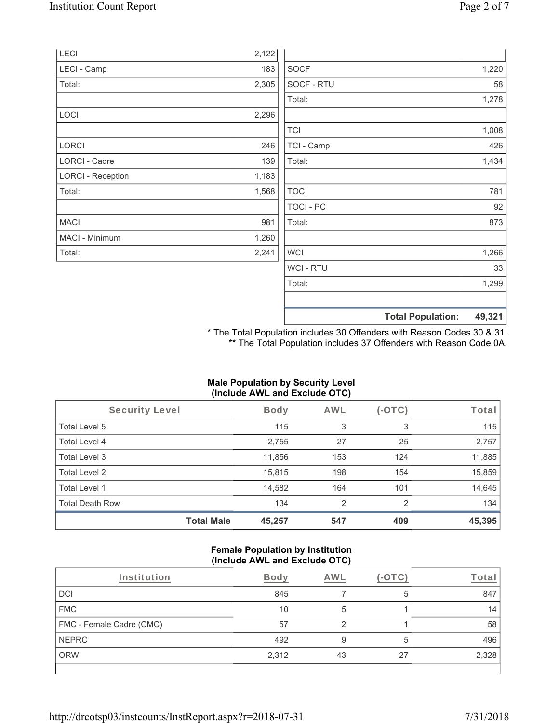|                          |       |             | <b>Total Population:</b> | 49,321 |
|--------------------------|-------|-------------|--------------------------|--------|
|                          |       |             |                          |        |
|                          |       | Total:      |                          | 1,299  |
|                          |       | WCI - RTU   |                          | 33     |
| Total:                   | 2,241 | <b>WCI</b>  |                          | 1,266  |
| MACI - Minimum           | 1,260 |             |                          |        |
| <b>MACI</b>              | 981   | Total:      |                          | 873    |
|                          |       | TOCI - PC   |                          | 92     |
| Total:                   | 1,568 | <b>TOCI</b> |                          | 781    |
| <b>LORCI - Reception</b> | 1,183 |             |                          |        |
| LORCI - Cadre            | 139   | Total:      |                          | 1,434  |
| LORCI                    | 246   | TCI - Camp  |                          | 426    |
|                          |       | <b>TCI</b>  |                          | 1,008  |
| LOCI                     | 2,296 |             |                          |        |
|                          |       | Total:      |                          | 1,278  |
| Total:                   | 2,305 | SOCF - RTU  |                          | 58     |
| LECI - Camp              | 183   | <b>SOCF</b> |                          | 1,220  |
| LECI                     | 2,122 |             |                          |        |

\* The Total Population includes 30 Offenders with Reason Codes 30 & 31. \*\* The Total Population includes 37 Offenders with Reason Code 0A.

## **Male Population by Security Level (Include AWL and Exclude OTC)**

| Security Level         |                   | <b>Body</b> | AWL            | $(-OTC)$ | Total  |
|------------------------|-------------------|-------------|----------------|----------|--------|
| Total Level 5          |                   | 115         | 3              | 3        | 115    |
| Total Level 4          |                   | 2,755       | 27             | 25       | 2,757  |
| Total Level 3          |                   | 11,856      | 153            | 124      | 11,885 |
| Total Level 2          |                   | 15,815      | 198            | 154      | 15,859 |
| Total Level 1          |                   | 14,582      | 164            | 101      | 14,645 |
| <b>Total Death Row</b> |                   | 134         | $\overline{2}$ | 2        | 134    |
|                        | <b>Total Male</b> | 45,257      | 547            | 409      | 45,395 |

#### **Female Population by Institution (Include AWL and Exclude OTC)**

| Institution              | Bodv  | AWL |    | ⊺ota  |
|--------------------------|-------|-----|----|-------|
| DCI                      | 845   |     | 5  | 847   |
| <b>FMC</b>               | 10    |     |    | 14    |
| FMC - Female Cadre (CMC) | 57    |     |    | 58    |
| <b>NEPRC</b>             | 492   |     | 5  | 496   |
| <b>ORW</b>               | 2,312 | 43  | 27 | 2,328 |
|                          |       |     |    |       |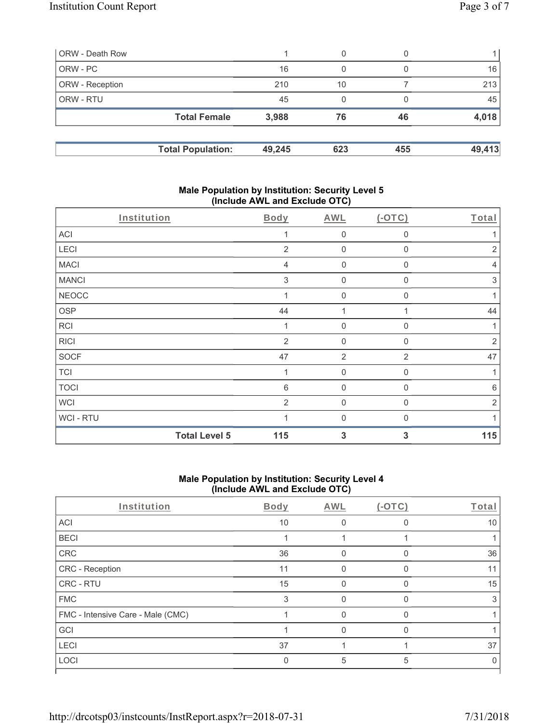| ORW - Death Row        |                          |        | 0   |     |        |
|------------------------|--------------------------|--------|-----|-----|--------|
| ORW - PC               |                          | 16     | 0   |     | 16     |
| <b>ORW</b> - Reception |                          | 210    | 10  |     | 213    |
| <b>ORW - RTU</b>       |                          | 45     | 0   |     | 45     |
|                        | <b>Total Female</b>      | 3,988  | 76  | 46  | 4,018  |
|                        | <b>Total Population:</b> | 49,245 | 623 | 455 | 49,413 |

### **Male Population by Institution: Security Level 5 (Include AWL and Exclude OTC)**

| Institution    |                      | Body           | AWL              | $(-OTC)$       | Total          |
|----------------|----------------------|----------------|------------------|----------------|----------------|
| ACI            |                      |                | $\mathbf 0$      | $\mathbf 0$    |                |
| LECI           |                      | $\overline{2}$ | $\boldsymbol{0}$ | 0              | $\sqrt{2}$     |
| <b>MACI</b>    |                      | 4              | $\mathbf 0$      | $\mathbf 0$    | $\overline{4}$ |
| <b>MANCI</b>   |                      | 3              | $\boldsymbol{0}$ | 0              | $\sqrt{3}$     |
| <b>NEOCC</b>   |                      |                | $\mathbf 0$      | 0              | 1              |
| <b>OSP</b>     |                      | 44             | 1                |                | 44             |
| <b>RCI</b>     |                      |                | $\mathbf 0$      | 0              | 1              |
| <b>RICI</b>    |                      | 2              | $\mathbf 0$      | $\Omega$       | $\overline{2}$ |
| <b>SOCF</b>    |                      | 47             | $\overline{2}$   | $\overline{2}$ | 47             |
| <b>TCI</b>     |                      | 1              | $\mathbf 0$      | 0              | 1              |
| <b>TOCI</b>    |                      | 6              | $\boldsymbol{0}$ | 0              | $6\,$          |
| <b>WCI</b>     |                      | 2              | $\mathbf 0$      | 0              | $\overline{2}$ |
| <b>WCI-RTU</b> |                      |                | $\Omega$         | $\Omega$       |                |
|                | <b>Total Level 5</b> | 115            | 3                | 3              | 115            |

## **Male Population by Institution: Security Level 4 (Include AWL and Exclude OTC)**

| Institution                       | Body | AWL      | $(-OTC)$ | Total |
|-----------------------------------|------|----------|----------|-------|
| ACI                               | 10   |          |          | 10    |
| <b>BECI</b>                       |      |          |          |       |
| CRC                               | 36   | $\Omega$ | 0        | 36    |
| CRC - Reception                   | 11   |          | O        | 11    |
| <b>CRC - RTU</b>                  | 15   |          |          | 15    |
| <b>FMC</b>                        | 3    |          |          | 3     |
| FMC - Intensive Care - Male (CMC) |      | O        |          |       |
| GCI                               |      | $\Omega$ | $\Omega$ |       |
| <b>LECI</b>                       | 37   |          |          | 37    |
| LOCI                              | 0    | 5        | 5        |       |
|                                   |      |          |          |       |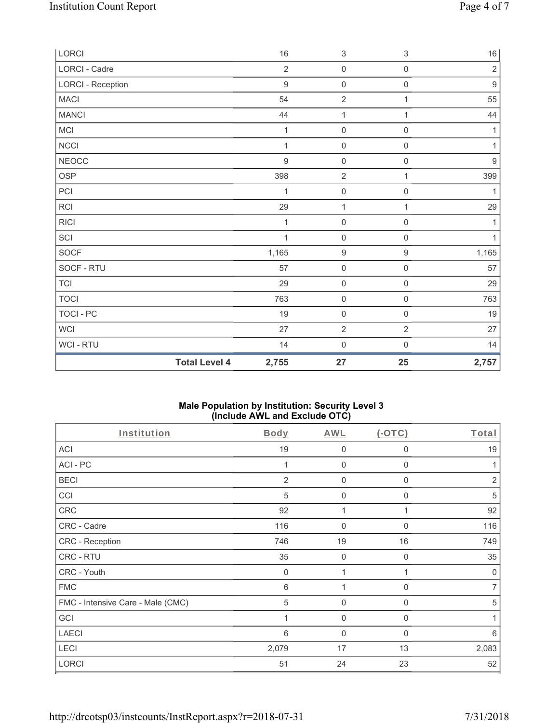| LORCI                    |                      | 16               | $\ensuremath{\mathsf{3}}$ | $\ensuremath{\mathsf{3}}$ | 16               |
|--------------------------|----------------------|------------------|---------------------------|---------------------------|------------------|
| LORCI - Cadre            |                      | $\overline{2}$   | $\mathbf 0$               | $\mathsf{O}\xspace$       | $\overline{2}$   |
| <b>LORCI - Reception</b> |                      | $\boldsymbol{9}$ | $\mathbf 0$               | $\mathsf{O}\xspace$       | $\boldsymbol{9}$ |
| MACI                     |                      | 54               | $\sqrt{2}$                | $\mathbf{1}$              | 55               |
| <b>MANCI</b>             |                      | 44               | 1                         | 1                         | 44               |
| MCI                      |                      | 1                | $\mathbf 0$               | $\mathbf 0$               | $\mathbf{1}$     |
| <b>NCCI</b>              |                      | 1                | $\mathbf 0$               | $\mathsf{O}\xspace$       | 1                |
| <b>NEOCC</b>             |                      | $\boldsymbol{9}$ | $\mathbf 0$               | $\mathsf{O}\xspace$       | $\boldsymbol{9}$ |
| <b>OSP</b>               |                      | 398              | $\sqrt{2}$                | 1                         | 399              |
| PCI                      |                      | 1                | $\mathsf{O}\xspace$       | $\mathbf 0$               | $\mathbf{1}$     |
| RCI                      |                      | 29               | 1                         | 1                         | 29               |
| <b>RICI</b>              |                      | 1                | $\mathbf 0$               | $\mathbf 0$               | 1                |
| SCI                      |                      | $\mathbf{1}$     | $\mathbf 0$               | $\mathsf 0$               | $\mathbf{1}$     |
| <b>SOCF</b>              |                      | 1,165            | $\boldsymbol{9}$          | $\boldsymbol{9}$          | 1,165            |
| SOCF - RTU               |                      | 57               | $\mathbf 0$               | $\mathsf{O}\xspace$       | 57               |
| <b>TCI</b>               |                      | 29               | $\mathbf 0$               | $\mathsf{O}\xspace$       | 29               |
| <b>TOCI</b>              |                      | 763              | $\mathbf 0$               | $\mathsf{O}\xspace$       | 763              |
| <b>TOCI - PC</b>         |                      | 19               | $\mathbf 0$               | $\mathsf{O}\xspace$       | 19               |
| WCI                      |                      | 27               | $\overline{2}$            | $\overline{2}$            | $27\,$           |
| WCI - RTU                |                      | 14               | $\mathbf 0$               | $\boldsymbol{0}$          | 14               |
|                          | <b>Total Level 4</b> | 2,755            | 27                        | 25                        | 2,757            |

## **Male Population by Institution: Security Level 3 (Include AWL and Exclude OTC)**

| Institution                       | <b>Body</b>    | <b>AWL</b>     | (OTC)        | Total          |
|-----------------------------------|----------------|----------------|--------------|----------------|
| <b>ACI</b>                        | 19             | $\mathbf 0$    | $\mathbf 0$  | 19             |
| ACI-PC                            | 1              | $\mathbf{0}$   | $\mathbf 0$  | 1              |
| <b>BECI</b>                       | $\overline{2}$ | $\mathbf 0$    | 0            | $\overline{2}$ |
| CCI                               | 5              | $\overline{0}$ | $\mathbf{0}$ | 5              |
| CRC                               | 92             | 1              | 1            | 92             |
| CRC - Cadre                       | 116            | $\overline{0}$ | $\mathbf{0}$ | 116            |
| CRC - Reception                   | 746            | 19             | 16           | 749            |
| CRC - RTU                         | 35             | $\mathbf 0$    | $\mathbf 0$  | 35             |
| CRC - Youth                       | $\mathbf 0$    | 1              |              | 0              |
| <b>FMC</b>                        | 6              | 1              | $\Omega$     | $\overline{7}$ |
| FMC - Intensive Care - Male (CMC) | 5              | $\mathbf 0$    | 0            | 5              |
| GCI                               | 1              | $\mathbf 0$    | $\mathbf{0}$ |                |
| <b>LAECI</b>                      | 6              | $\mathbf 0$    | 0            | 6              |
| LECI                              | 2,079          | 17             | 13           | 2,083          |
| <b>LORCI</b>                      | 51             | 24             | 23           | 52             |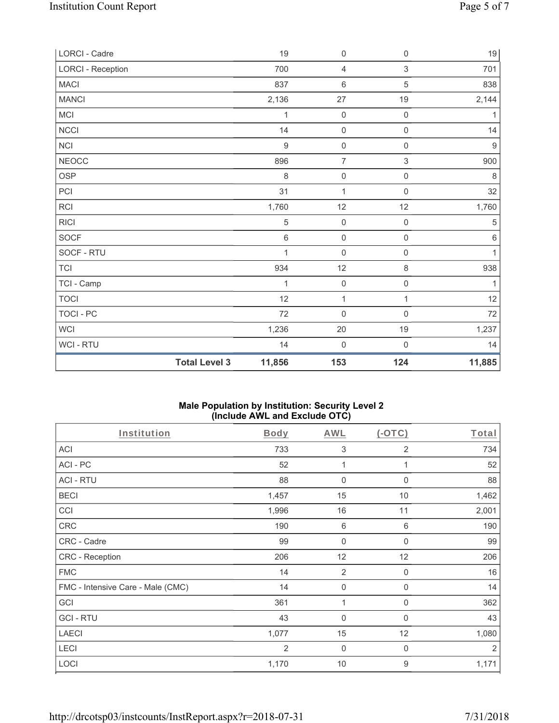| <b>Total Level 3</b>     | 11,856  | 153                 | 124                 | 11,885     |
|--------------------------|---------|---------------------|---------------------|------------|
| WCI - RTU                | 14      | 0                   | $\boldsymbol{0}$    | 14         |
| <b>WCI</b>               | 1,236   | $20\,$              | 19                  | 1,237      |
| <b>TOCI - PC</b>         | 72      | 0                   | $\mathbf 0$         | 72         |
| <b>TOCI</b>              | 12      | 1                   | 1                   | 12         |
| TCI - Camp               | 1       | $\mathbf 0$         | $\mathbf 0$         | 1          |
| <b>TCI</b>               | 934     | 12                  | $\,8\,$             | 938        |
| SOCF - RTU               | 1       | $\mathsf{O}\xspace$ | $\mathsf{O}\xspace$ | 1          |
| <b>SOCF</b>              | $\,6\,$ | $\mathbf 0$         | $\mathbf 0$         | $\,6\,$    |
| <b>RICI</b>              | 5       | $\mathbf 0$         | $\mathsf 0$         | $\sqrt{5}$ |
| <b>RCI</b>               | 1,760   | 12                  | 12                  | 1,760      |
| PCI                      | 31      | 1                   | $\mathsf{O}\xspace$ | 32         |
| <b>OSP</b>               | 8       | $\mathbf 0$         | $\mathsf{O}\xspace$ | $\,8\,$    |
| <b>NEOCC</b>             | 896     | $\overline{7}$      | 3                   | 900        |
| NCI                      | $9\,$   | $\mathbf 0$         | $\mathsf{O}\xspace$ | $9$        |
| <b>NCCI</b>              | 14      | $\mathbf 0$         | $\mathsf{O}\xspace$ | 14         |
| MCI                      | 1       | $\mathbf 0$         | $\boldsymbol{0}$    | 1          |
| <b>MANCI</b>             | 2,136   | $27\,$              | 19                  | 2,144      |
| <b>MACI</b>              | 837     | $\,6\,$             | 5                   | 838        |
| <b>LORCI - Reception</b> | 700     | 4                   | $\sqrt{3}$          | 701        |
| LORCI - Cadre            | 19      | $\mathsf{O}\xspace$ | $\mathsf{O}\xspace$ | 19         |

## **Male Population by Institution: Security Level 2 (Include AWL and Exclude OTC)**

| Institution                       | <b>Body</b>    | <b>AWL</b>                | (OTC)          | Total |
|-----------------------------------|----------------|---------------------------|----------------|-------|
| <b>ACI</b>                        | 733            | $\ensuremath{\mathsf{3}}$ | $\overline{2}$ | 734   |
| ACI-PC                            | 52             | 1                         | 1              | 52    |
| <b>ACI - RTU</b>                  | 88             | $\boldsymbol{0}$          | 0              | 88    |
| <b>BECI</b>                       | 1,457          | 15                        | 10             | 1,462 |
| CCI                               | 1,996          | 16                        | 11             | 2,001 |
| CRC                               | 190            | $\,6\,$                   | 6              | 190   |
| CRC - Cadre                       | 99             | 0                         | $\Omega$       | 99    |
| CRC - Reception                   | 206            | 12                        | 12             | 206   |
| <b>FMC</b>                        | 14             | $\overline{2}$            | 0              | 16    |
| FMC - Intensive Care - Male (CMC) | 14             | $\mathbf 0$               | $\mathbf 0$    | 14    |
| GCI                               | 361            | 1                         | 0              | 362   |
| <b>GCI-RTU</b>                    | 43             | $\mathbf 0$               | $\mathbf{0}$   | 43    |
| <b>LAECI</b>                      | 1,077          | 15                        | 12             | 1,080 |
| LECI                              | $\overline{2}$ | $\mathbf{0}$              | $\mathbf 0$    | 2     |
| <b>LOCI</b>                       | 1,170          | 10                        | 9              | 1,171 |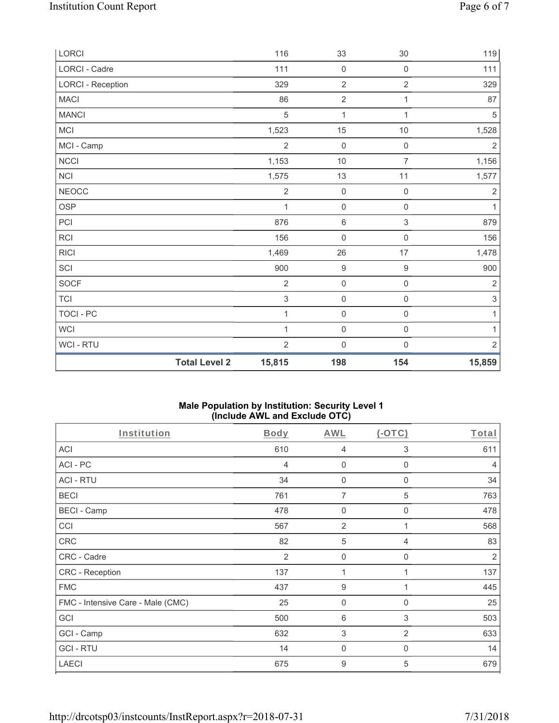| <b>Total Level 2</b>     | 15,815                    | 198                 | 154                 | 15,859                    |
|--------------------------|---------------------------|---------------------|---------------------|---------------------------|
| WCI-RTU                  | $\overline{2}$            | 0                   | $\mathbf 0$         | $\overline{2}$            |
| <b>WCI</b>               | 1                         | $\mathsf{O}\xspace$ | $\mathbf 0$         | 1                         |
| <b>TOCI - PC</b>         | 1                         | $\mathsf{O}\xspace$ | $\mathbf 0$         | 1                         |
| <b>TCI</b>               | $\ensuremath{\mathsf{3}}$ | $\mathbf 0$         | $\mathsf{O}\xspace$ | $\ensuremath{\mathsf{3}}$ |
| <b>SOCF</b>              | $\overline{2}$            | $\mathbf 0$         | $\mathsf{O}\xspace$ | $\overline{2}$            |
| SCI                      | 900                       | $\boldsymbol{9}$    | $\boldsymbol{9}$    | 900                       |
| <b>RICI</b>              | 1,469                     | $26\,$              | 17                  | 1,478                     |
| RCI                      | 156                       | $\mathbf 0$         | $\mathsf 0$         | 156                       |
| PCI                      | 876                       | $6\,$               | $\mathfrak{S}$      | 879                       |
| <b>OSP</b>               | 1                         | $\mathbf 0$         | $\mathsf 0$         | 1                         |
| <b>NEOCC</b>             | $\overline{2}$            | $\mathbf 0$         | $\mathsf 0$         | $\overline{2}$            |
| <b>NCI</b>               | 1,575                     | 13                  | 11                  | 1,577                     |
| NCCI                     | 1,153                     | 10                  | $\overline{7}$      | 1,156                     |
| MCI - Camp               | $\overline{2}$            | $\mathbf 0$         | $\mathsf{O}\xspace$ | $\overline{2}$            |
| MCI                      | 1,523                     | 15                  | $10$                | 1,528                     |
| <b>MANCI</b>             | 5                         | 1                   | 1                   | $\sqrt{5}$                |
| MACI                     | 86                        | $\overline{2}$      | $\mathbf{1}$        | 87                        |
| <b>LORCI - Reception</b> | 329                       | $\overline{2}$      | $\overline{2}$      | 329                       |
| LORCI - Cadre            | 111                       | $\mathsf{O}\xspace$ | $\mathsf{O}\xspace$ | 111                       |
| LORCI                    | 116                       | 33                  | $30\,$              | 119                       |

## **Male Population by Institution: Security Level 1 (Include AWL and Exclude OTC)**

| Institution                       | <b>Body</b>    | <b>AWL</b>                | (OTC)          | Total |
|-----------------------------------|----------------|---------------------------|----------------|-------|
| <b>ACI</b>                        | 610            | $\overline{4}$            | 3              | 611   |
| ACI-PC                            | $\overline{4}$ | 0                         | $\Omega$       | 4     |
| <b>ACI - RTU</b>                  | 34             | 0                         | 0              | 34    |
| <b>BECI</b>                       | 761            | $\overline{7}$            | 5              | 763   |
| <b>BECI - Camp</b>                | 478            | 0                         | $\Omega$       | 478   |
| CCI                               | 567            | $\overline{2}$            |                | 568   |
| <b>CRC</b>                        | 82             | 5                         | 4              | 83    |
| CRC - Cadre                       | 2              | $\mathbf 0$               | $\Omega$       | 2     |
| CRC - Reception                   | 137            | 1                         |                | 137   |
| <b>FMC</b>                        | 437            | 9                         |                | 445   |
| FMC - Intensive Care - Male (CMC) | 25             | $\mathbf 0$               | $\mathbf 0$    | 25    |
| GCI                               | 500            | 6                         | 3              | 503   |
| GCI - Camp                        | 632            | $\ensuremath{\mathsf{3}}$ | $\overline{2}$ | 633   |
| <b>GCI-RTU</b>                    | 14             | 0                         | 0              | 14    |
| <b>LAECI</b>                      | 675            | 9                         | 5              | 679   |